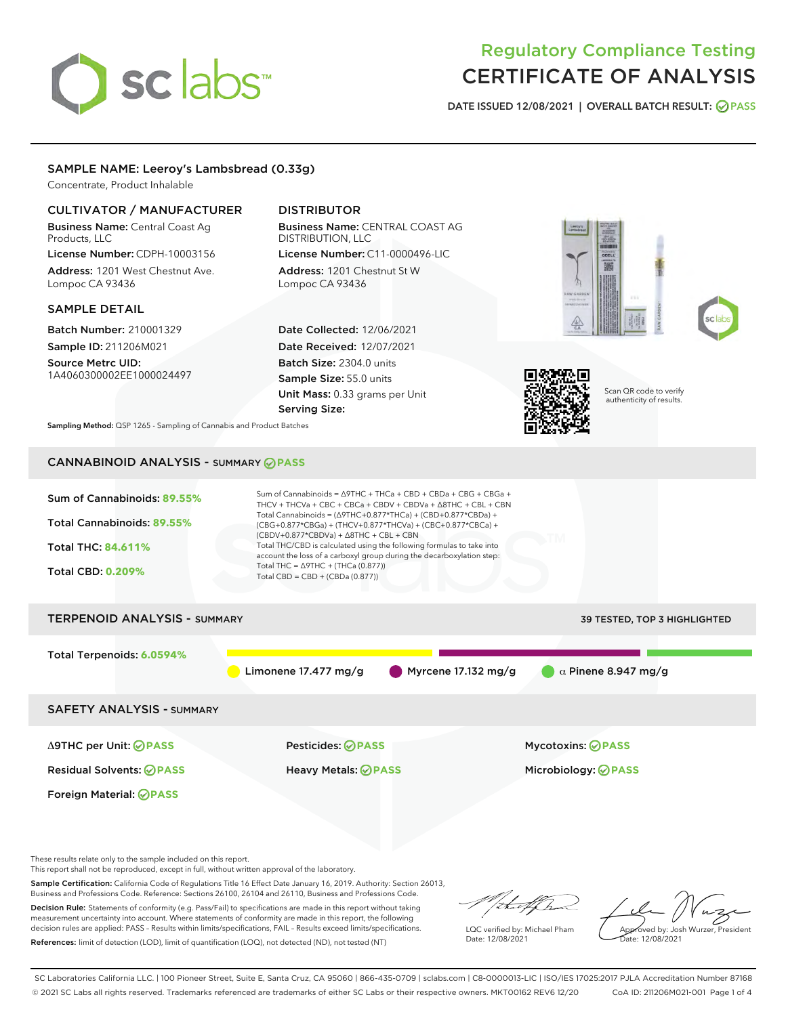# sclabs<sup>\*</sup>

# Regulatory Compliance Testing CERTIFICATE OF ANALYSIS

DATE ISSUED 12/08/2021 | OVERALL BATCH RESULT: @ PASS

# SAMPLE NAME: Leeroy's Lambsbread (0.33g)

Concentrate, Product Inhalable

# CULTIVATOR / MANUFACTURER

Business Name: Central Coast Ag Products, LLC License Number: CDPH-10003156

Address: 1201 West Chestnut Ave. Lompoc CA 93436

#### SAMPLE DETAIL

Batch Number: 210001329 Sample ID: 211206M021

Source Metrc UID: 1A4060300002EE1000024497

# DISTRIBUTOR

Business Name: CENTRAL COAST AG DISTRIBUTION, LLC License Number: C11-0000496-LIC

Address: 1201 Chestnut St W Lompoc CA 93436

Date Collected: 12/06/2021 Date Received: 12/07/2021 Batch Size: 2304.0 units Sample Size: 55.0 units Unit Mass: 0.33 grams per Unit Serving Size:







Scan QR code to verify authenticity of results.

Sampling Method: QSP 1265 - Sampling of Cannabis and Product Batches

# CANNABINOID ANALYSIS - SUMMARY **PASS**



These results relate only to the sample included on this report.

This report shall not be reproduced, except in full, without written approval of the laboratory.

Sample Certification: California Code of Regulations Title 16 Effect Date January 16, 2019. Authority: Section 26013, Business and Professions Code. Reference: Sections 26100, 26104 and 26110, Business and Professions Code.

Decision Rule: Statements of conformity (e.g. Pass/Fail) to specifications are made in this report without taking measurement uncertainty into account. Where statements of conformity are made in this report, the following decision rules are applied: PASS – Results within limits/specifications, FAIL – Results exceed limits/specifications. References: limit of detection (LOD), limit of quantification (LOQ), not detected (ND), not tested (NT)

that for

LQC verified by: Michael Pham Date: 12/08/2021

Approved by: Josh Wurzer, President ate: 12/08/2021

SC Laboratories California LLC. | 100 Pioneer Street, Suite E, Santa Cruz, CA 95060 | 866-435-0709 | sclabs.com | C8-0000013-LIC | ISO/IES 17025:2017 PJLA Accreditation Number 87168 © 2021 SC Labs all rights reserved. Trademarks referenced are trademarks of either SC Labs or their respective owners. MKT00162 REV6 12/20 CoA ID: 211206M021-001 Page 1 of 4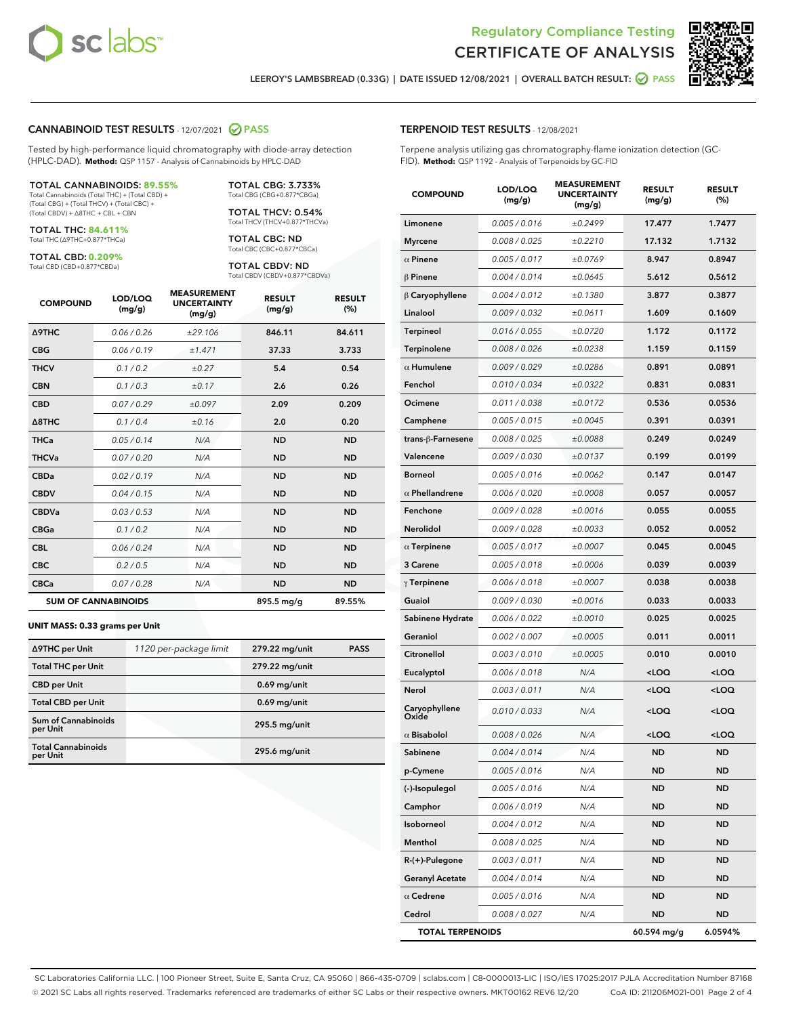



LEEROY'S LAMBSBREAD (0.33G) | DATE ISSUED 12/08/2021 | OVERALL BATCH RESULT: @ PASS

#### CANNABINOID TEST RESULTS - 12/07/2021 2 PASS

Tested by high-performance liquid chromatography with diode-array detection (HPLC-DAD). **Method:** QSP 1157 - Analysis of Cannabinoids by HPLC-DAD

#### TOTAL CANNABINOIDS: **89.55%**

Total Cannabinoids (Total THC) + (Total CBD) + (Total CBG) + (Total THCV) + (Total CBC) + (Total CBDV) + ∆8THC + CBL + CBN

TOTAL THC: **84.611%** Total THC (∆9THC+0.877\*THCa)

TOTAL CBD: **0.209%**

Total CBD (CBD+0.877\*CBDa)

TOTAL CBG: 3.733% Total CBG (CBG+0.877\*CBGa)

TOTAL THCV: 0.54% Total THCV (THCV+0.877\*THCVa)

TOTAL CBC: ND Total CBC (CBC+0.877\*CBCa)

TOTAL CBDV: ND Total CBDV (CBDV+0.877\*CBDVa)

| <b>COMPOUND</b>  | LOD/LOQ<br>(mg/g)          | <b>MEASUREMENT</b><br><b>UNCERTAINTY</b><br>(mg/g) | <b>RESULT</b><br>(mg/g) | <b>RESULT</b><br>(%) |
|------------------|----------------------------|----------------------------------------------------|-------------------------|----------------------|
| <b>A9THC</b>     | 0.06 / 0.26                | ±29.106                                            | 846.11                  | 84.611               |
| <b>CBG</b>       | 0.06/0.19                  | ±1.471                                             | 37.33                   | 3.733                |
| <b>THCV</b>      | 0.1 / 0.2                  | ±0.27                                              | 5.4                     | 0.54                 |
| <b>CBN</b>       | 0.1 / 0.3                  | ±0.17                                              | 2.6                     | 0.26                 |
| <b>CBD</b>       | 0.07/0.29                  | ±0.097                                             | 2.09                    | 0.209                |
| $\triangle$ 8THC | 0.1/0.4                    | ±0.16                                              | 2.0                     | 0.20                 |
| <b>THCa</b>      | 0.05/0.14                  | N/A                                                | <b>ND</b>               | <b>ND</b>            |
| <b>THCVa</b>     | 0.07/0.20                  | N/A                                                | <b>ND</b>               | <b>ND</b>            |
| <b>CBDa</b>      | 0.02/0.19                  | N/A                                                | <b>ND</b>               | <b>ND</b>            |
| <b>CBDV</b>      | 0.04/0.15                  | N/A                                                | <b>ND</b>               | <b>ND</b>            |
| <b>CBDVa</b>     | 0.03/0.53                  | N/A                                                | <b>ND</b>               | <b>ND</b>            |
| <b>CBGa</b>      | 0.1/0.2                    | N/A                                                | <b>ND</b>               | <b>ND</b>            |
| <b>CBL</b>       | 0.06 / 0.24                | N/A                                                | <b>ND</b>               | <b>ND</b>            |
| <b>CBC</b>       | 0.2 / 0.5                  | N/A                                                | <b>ND</b>               | <b>ND</b>            |
| <b>CBCa</b>      | 0.07 / 0.28                | N/A                                                | <b>ND</b>               | <b>ND</b>            |
|                  | <b>SUM OF CANNABINOIDS</b> |                                                    | 895.5 mg/g              | 89.55%               |

#### **UNIT MASS: 0.33 grams per Unit**

| ∆9THC per Unit                        | 1120 per-package limit | 279.22 mg/unit  | <b>PASS</b> |
|---------------------------------------|------------------------|-----------------|-------------|
| <b>Total THC per Unit</b>             |                        | 279.22 mg/unit  |             |
| <b>CBD</b> per Unit                   |                        | $0.69$ mg/unit  |             |
| <b>Total CBD per Unit</b>             |                        | $0.69$ mg/unit  |             |
| Sum of Cannabinoids<br>per Unit       |                        | 295.5 mg/unit   |             |
| <b>Total Cannabinoids</b><br>per Unit |                        | $295.6$ mg/unit |             |

#### TERPENOID TEST RESULTS - 12/08/2021

Terpene analysis utilizing gas chromatography-flame ionization detection (GC-FID). **Method:** QSP 1192 - Analysis of Terpenoids by GC-FID

| <b>COMPOUND</b>         | LOD/LOQ<br>(mg/g) | <b>MEASUREMENT</b><br><b>UNCERTAINTY</b><br>(mg/g) | <b>RESULT</b><br>(mg/g)                          | <b>RESULT</b><br>(%) |
|-------------------------|-------------------|----------------------------------------------------|--------------------------------------------------|----------------------|
| Limonene                | 0.005 / 0.016     | ±0.2499                                            | 17.477                                           | 1.7477               |
| <b>Myrcene</b>          | 0.008 / 0.025     | ±0.2210                                            | 17.132                                           | 1.7132               |
| $\alpha$ Pinene         | 0.005 / 0.017     | ±0.0769                                            | 8.947                                            | 0.8947               |
| $\beta$ Pinene          | 0.004 / 0.014     | ±0.0645                                            | 5.612                                            | 0.5612               |
| $\beta$ Caryophyllene   | 0.004 / 0.012     | ±0.1380                                            | 3.877                                            | 0.3877               |
| Linalool                | 0.009 / 0.032     | ±0.0611                                            | 1.609                                            | 0.1609               |
| Terpineol               | 0.016 / 0.055     | ±0.0720                                            | 1.172                                            | 0.1172               |
| Terpinolene             | 0.008 / 0.026     | ±0.0238                                            | 1.159                                            | 0.1159               |
| $\alpha$ Humulene       | 0.009 / 0.029     | ±0.0286                                            | 0.891                                            | 0.0891               |
| Fenchol                 | 0.010 / 0.034     | ±0.0322                                            | 0.831                                            | 0.0831               |
| Ocimene                 | 0.011 / 0.038     | ±0.0172                                            | 0.536                                            | 0.0536               |
| Camphene                | 0.005 / 0.015     | ±0.0045                                            | 0.391                                            | 0.0391               |
| trans-ß-Farnesene       | 0.008 / 0.025     | ±0.0088                                            | 0.249                                            | 0.0249               |
| Valencene               | 0.009 / 0.030     | ±0.0137                                            | 0.199                                            | 0.0199               |
| <b>Borneol</b>          | 0.005 / 0.016     | ±0.0062                                            | 0.147                                            | 0.0147               |
| $\alpha$ Phellandrene   | 0.006 / 0.020     | ±0.0008                                            | 0.057                                            | 0.0057               |
| Fenchone                | 0.009 / 0.028     | ±0.0016                                            | 0.055                                            | 0.0055               |
| Nerolidol               | 0.009 / 0.028     | ±0.0033                                            | 0.052                                            | 0.0052               |
| $\alpha$ Terpinene      | 0.005 / 0.017     | ±0.0007                                            | 0.045                                            | 0.0045               |
| 3 Carene                | 0.005 / 0.018     | ±0.0006                                            | 0.039                                            | 0.0039               |
| $\gamma$ Terpinene      | 0.006 / 0.018     | ±0.0007                                            | 0.038                                            | 0.0038               |
| Guaiol                  | 0.009 / 0.030     | ±0.0016                                            | 0.033                                            | 0.0033               |
| Sabinene Hydrate        | 0.006 / 0.022     | ±0.0010                                            | 0.025                                            | 0.0025               |
| Geraniol                | 0.002 / 0.007     | ±0.0005                                            | 0.011                                            | 0.0011               |
| Citronellol             | 0.003 / 0.010     | ±0.0005                                            | 0.010                                            | 0.0010               |
| Eucalyptol              | 0.006 / 0.018     | N/A                                                | <loq< th=""><th><math>&lt;</math>LOQ</th></loq<> | $<$ LOQ              |
| Nerol                   | 0.003 / 0.011     | N/A                                                | <loq< th=""><th><loq< th=""></loq<></th></loq<>  | <loq< th=""></loq<>  |
| Caryophyllene<br>Oxide  | 0.010 / 0.033     | N/A                                                | 100                                              | <loq< th=""></loq<>  |
| $\alpha$ Bisabolol      | 0.008 / 0.026     | N/A                                                | $<$ LOQ                                          | $<$ LOQ              |
| Sabinene                | 0.004 / 0.014     | N/A                                                | <b>ND</b>                                        | <b>ND</b>            |
| p-Cymene                | 0.005 / 0.016     | N/A                                                | ND                                               | ND                   |
| (-)-Isopulegol          | 0.005 / 0.016     | N/A                                                | <b>ND</b>                                        | <b>ND</b>            |
| Camphor                 | 0.006 / 0.019     | N/A                                                | <b>ND</b>                                        | <b>ND</b>            |
| Isoborneol              | 0.004 / 0.012     | N/A                                                | ND                                               | ND                   |
| Menthol                 | 0.008 / 0.025     | N/A                                                | ND                                               | ND                   |
| $R-(+)$ -Pulegone       | 0.003 / 0.011     | N/A                                                | <b>ND</b>                                        | <b>ND</b>            |
| <b>Geranyl Acetate</b>  | 0.004 / 0.014     | N/A                                                | ND                                               | ND                   |
| $\alpha$ Cedrene        | 0.005 / 0.016     | N/A                                                | ND                                               | <b>ND</b>            |
| Cedrol                  | 0.008 / 0.027     | N/A                                                | <b>ND</b>                                        | ND                   |
| <b>TOTAL TERPENOIDS</b> |                   |                                                    | 60.594 mg/g                                      | 6.0594%              |

SC Laboratories California LLC. | 100 Pioneer Street, Suite E, Santa Cruz, CA 95060 | 866-435-0709 | sclabs.com | C8-0000013-LIC | ISO/IES 17025:2017 PJLA Accreditation Number 87168 © 2021 SC Labs all rights reserved. Trademarks referenced are trademarks of either SC Labs or their respective owners. MKT00162 REV6 12/20 CoA ID: 211206M021-001 Page 2 of 4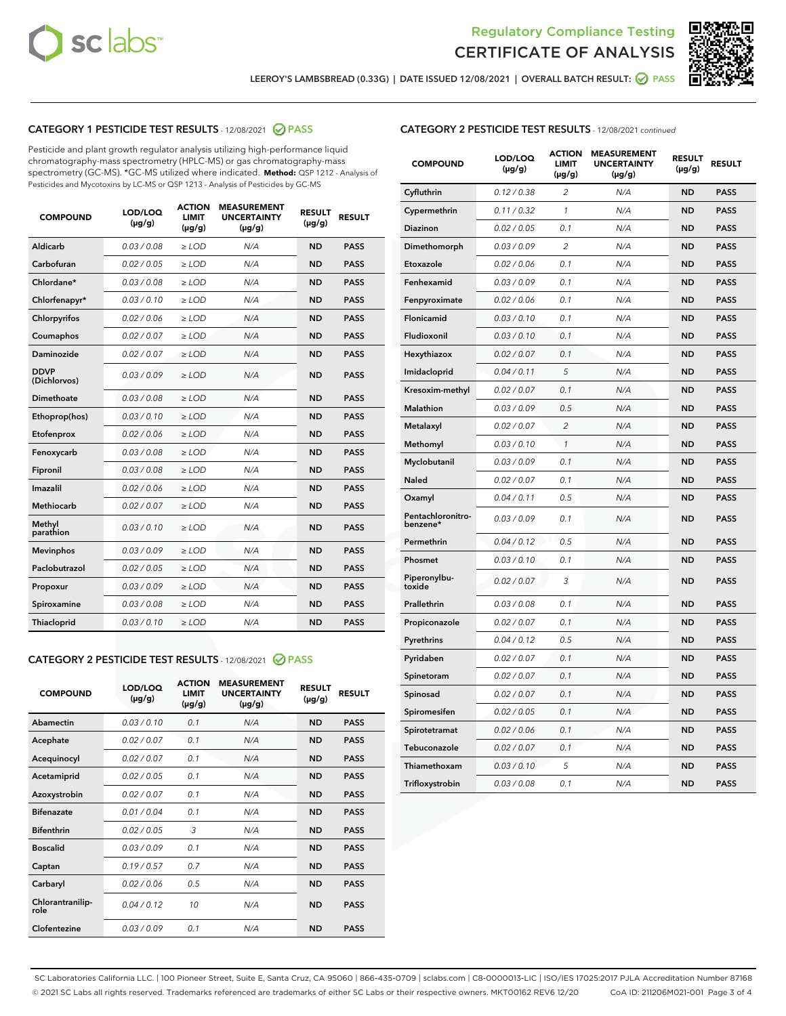



LEEROY'S LAMBSBREAD (0.33G) | DATE ISSUED 12/08/2021 | OVERALL BATCH RESULT: <mark>⊘</mark> PASS

# CATEGORY 1 PESTICIDE TEST RESULTS - 12/08/2021 2 PASS

Pesticide and plant growth regulator analysis utilizing high-performance liquid chromatography-mass spectrometry (HPLC-MS) or gas chromatography-mass spectrometry (GC-MS). \*GC-MS utilized where indicated. **Method:** QSP 1212 - Analysis of Pesticides and Mycotoxins by LC-MS or QSP 1213 - Analysis of Pesticides by GC-MS

| <b>Aldicarb</b><br>0.03 / 0.08<br><b>ND</b><br>$\ge$ LOD<br>N/A<br><b>PASS</b><br>Carbofuran<br>0.02/0.05<br>$\ge$ LOD<br>N/A<br><b>ND</b><br><b>PASS</b><br>Chlordane*<br>0.03 / 0.08<br><b>ND</b><br>$>$ LOD<br>N/A<br><b>PASS</b><br>0.03/0.10<br><b>ND</b><br><b>PASS</b><br>Chlorfenapyr*<br>$\ge$ LOD<br>N/A<br>0.02 / 0.06<br>N/A<br><b>ND</b><br><b>PASS</b><br>Chlorpyrifos<br>$\ge$ LOD<br>0.02 / 0.07<br>N/A<br><b>ND</b><br><b>PASS</b><br>Coumaphos<br>$>$ LOD<br>Daminozide<br>0.02 / 0.07<br>$\ge$ LOD<br>N/A<br><b>ND</b><br><b>PASS</b><br><b>DDVP</b><br>0.03/0.09<br>$\ge$ LOD<br>N/A<br><b>ND</b><br><b>PASS</b><br>(Dichlorvos)<br>Dimethoate<br><b>ND</b><br><b>PASS</b><br>0.03 / 0.08<br>$>$ LOD<br>N/A<br>0.03/0.10<br>Ethoprop(hos)<br>$\ge$ LOD<br>N/A<br><b>ND</b><br><b>PASS</b><br>0.02 / 0.06<br>$\ge$ LOD<br>N/A<br><b>ND</b><br><b>PASS</b><br>Etofenprox<br>Fenoxycarb<br>0.03 / 0.08<br>$>$ LOD<br>N/A<br><b>ND</b><br><b>PASS</b><br>0.03 / 0.08<br><b>ND</b><br><b>PASS</b><br>Fipronil<br>$\ge$ LOD<br>N/A<br>Imazalil<br>0.02 / 0.06<br>$>$ LOD<br>N/A<br><b>ND</b><br><b>PASS</b><br>0.02 / 0.07<br>Methiocarb<br>N/A<br><b>ND</b><br>$>$ LOD<br><b>PASS</b><br>Methyl<br>0.03/0.10<br>$\ge$ LOD<br>N/A<br><b>ND</b><br><b>PASS</b><br>parathion<br>0.03/0.09<br>$\ge$ LOD<br>N/A<br><b>ND</b><br><b>PASS</b><br><b>Mevinphos</b><br>Paclobutrazol<br>0.02 / 0.05<br>$\ge$ LOD<br>N/A<br><b>ND</b><br><b>PASS</b><br>0.03/0.09<br>N/A<br>$\ge$ LOD<br><b>ND</b><br><b>PASS</b><br>Propoxur<br>0.03 / 0.08<br><b>ND</b><br><b>PASS</b><br>Spiroxamine<br>$\ge$ LOD<br>N/A<br><b>PASS</b><br>Thiacloprid<br>0.03/0.10<br>$\ge$ LOD<br>N/A<br><b>ND</b> | <b>COMPOUND</b> | LOD/LOQ<br>$(\mu g/g)$ | <b>ACTION</b><br>LIMIT<br>$(\mu g/g)$ | <b>MEASUREMENT</b><br><b>UNCERTAINTY</b><br>$(\mu g/g)$ | <b>RESULT</b><br>$(\mu g/g)$ | <b>RESULT</b> |
|----------------------------------------------------------------------------------------------------------------------------------------------------------------------------------------------------------------------------------------------------------------------------------------------------------------------------------------------------------------------------------------------------------------------------------------------------------------------------------------------------------------------------------------------------------------------------------------------------------------------------------------------------------------------------------------------------------------------------------------------------------------------------------------------------------------------------------------------------------------------------------------------------------------------------------------------------------------------------------------------------------------------------------------------------------------------------------------------------------------------------------------------------------------------------------------------------------------------------------------------------------------------------------------------------------------------------------------------------------------------------------------------------------------------------------------------------------------------------------------------------------------------------------------------------------------------------------------------------------------------------------------------------------------------------------------------|-----------------|------------------------|---------------------------------------|---------------------------------------------------------|------------------------------|---------------|
|                                                                                                                                                                                                                                                                                                                                                                                                                                                                                                                                                                                                                                                                                                                                                                                                                                                                                                                                                                                                                                                                                                                                                                                                                                                                                                                                                                                                                                                                                                                                                                                                                                                                                              |                 |                        |                                       |                                                         |                              |               |
|                                                                                                                                                                                                                                                                                                                                                                                                                                                                                                                                                                                                                                                                                                                                                                                                                                                                                                                                                                                                                                                                                                                                                                                                                                                                                                                                                                                                                                                                                                                                                                                                                                                                                              |                 |                        |                                       |                                                         |                              |               |
|                                                                                                                                                                                                                                                                                                                                                                                                                                                                                                                                                                                                                                                                                                                                                                                                                                                                                                                                                                                                                                                                                                                                                                                                                                                                                                                                                                                                                                                                                                                                                                                                                                                                                              |                 |                        |                                       |                                                         |                              |               |
|                                                                                                                                                                                                                                                                                                                                                                                                                                                                                                                                                                                                                                                                                                                                                                                                                                                                                                                                                                                                                                                                                                                                                                                                                                                                                                                                                                                                                                                                                                                                                                                                                                                                                              |                 |                        |                                       |                                                         |                              |               |
|                                                                                                                                                                                                                                                                                                                                                                                                                                                                                                                                                                                                                                                                                                                                                                                                                                                                                                                                                                                                                                                                                                                                                                                                                                                                                                                                                                                                                                                                                                                                                                                                                                                                                              |                 |                        |                                       |                                                         |                              |               |
|                                                                                                                                                                                                                                                                                                                                                                                                                                                                                                                                                                                                                                                                                                                                                                                                                                                                                                                                                                                                                                                                                                                                                                                                                                                                                                                                                                                                                                                                                                                                                                                                                                                                                              |                 |                        |                                       |                                                         |                              |               |
|                                                                                                                                                                                                                                                                                                                                                                                                                                                                                                                                                                                                                                                                                                                                                                                                                                                                                                                                                                                                                                                                                                                                                                                                                                                                                                                                                                                                                                                                                                                                                                                                                                                                                              |                 |                        |                                       |                                                         |                              |               |
|                                                                                                                                                                                                                                                                                                                                                                                                                                                                                                                                                                                                                                                                                                                                                                                                                                                                                                                                                                                                                                                                                                                                                                                                                                                                                                                                                                                                                                                                                                                                                                                                                                                                                              |                 |                        |                                       |                                                         |                              |               |
|                                                                                                                                                                                                                                                                                                                                                                                                                                                                                                                                                                                                                                                                                                                                                                                                                                                                                                                                                                                                                                                                                                                                                                                                                                                                                                                                                                                                                                                                                                                                                                                                                                                                                              |                 |                        |                                       |                                                         |                              |               |
|                                                                                                                                                                                                                                                                                                                                                                                                                                                                                                                                                                                                                                                                                                                                                                                                                                                                                                                                                                                                                                                                                                                                                                                                                                                                                                                                                                                                                                                                                                                                                                                                                                                                                              |                 |                        |                                       |                                                         |                              |               |
|                                                                                                                                                                                                                                                                                                                                                                                                                                                                                                                                                                                                                                                                                                                                                                                                                                                                                                                                                                                                                                                                                                                                                                                                                                                                                                                                                                                                                                                                                                                                                                                                                                                                                              |                 |                        |                                       |                                                         |                              |               |
|                                                                                                                                                                                                                                                                                                                                                                                                                                                                                                                                                                                                                                                                                                                                                                                                                                                                                                                                                                                                                                                                                                                                                                                                                                                                                                                                                                                                                                                                                                                                                                                                                                                                                              |                 |                        |                                       |                                                         |                              |               |
|                                                                                                                                                                                                                                                                                                                                                                                                                                                                                                                                                                                                                                                                                                                                                                                                                                                                                                                                                                                                                                                                                                                                                                                                                                                                                                                                                                                                                                                                                                                                                                                                                                                                                              |                 |                        |                                       |                                                         |                              |               |
|                                                                                                                                                                                                                                                                                                                                                                                                                                                                                                                                                                                                                                                                                                                                                                                                                                                                                                                                                                                                                                                                                                                                                                                                                                                                                                                                                                                                                                                                                                                                                                                                                                                                                              |                 |                        |                                       |                                                         |                              |               |
|                                                                                                                                                                                                                                                                                                                                                                                                                                                                                                                                                                                                                                                                                                                                                                                                                                                                                                                                                                                                                                                                                                                                                                                                                                                                                                                                                                                                                                                                                                                                                                                                                                                                                              |                 |                        |                                       |                                                         |                              |               |
|                                                                                                                                                                                                                                                                                                                                                                                                                                                                                                                                                                                                                                                                                                                                                                                                                                                                                                                                                                                                                                                                                                                                                                                                                                                                                                                                                                                                                                                                                                                                                                                                                                                                                              |                 |                        |                                       |                                                         |                              |               |
|                                                                                                                                                                                                                                                                                                                                                                                                                                                                                                                                                                                                                                                                                                                                                                                                                                                                                                                                                                                                                                                                                                                                                                                                                                                                                                                                                                                                                                                                                                                                                                                                                                                                                              |                 |                        |                                       |                                                         |                              |               |
|                                                                                                                                                                                                                                                                                                                                                                                                                                                                                                                                                                                                                                                                                                                                                                                                                                                                                                                                                                                                                                                                                                                                                                                                                                                                                                                                                                                                                                                                                                                                                                                                                                                                                              |                 |                        |                                       |                                                         |                              |               |
|                                                                                                                                                                                                                                                                                                                                                                                                                                                                                                                                                                                                                                                                                                                                                                                                                                                                                                                                                                                                                                                                                                                                                                                                                                                                                                                                                                                                                                                                                                                                                                                                                                                                                              |                 |                        |                                       |                                                         |                              |               |
|                                                                                                                                                                                                                                                                                                                                                                                                                                                                                                                                                                                                                                                                                                                                                                                                                                                                                                                                                                                                                                                                                                                                                                                                                                                                                                                                                                                                                                                                                                                                                                                                                                                                                              |                 |                        |                                       |                                                         |                              |               |
|                                                                                                                                                                                                                                                                                                                                                                                                                                                                                                                                                                                                                                                                                                                                                                                                                                                                                                                                                                                                                                                                                                                                                                                                                                                                                                                                                                                                                                                                                                                                                                                                                                                                                              |                 |                        |                                       |                                                         |                              |               |

#### CATEGORY 2 PESTICIDE TEST RESULTS - 12/08/2021 @ PASS

| <b>COMPOUND</b>          | LOD/LOO<br>$(\mu g/g)$ | <b>ACTION</b><br>LIMIT<br>$(\mu g/g)$ | <b>MEASUREMENT</b><br><b>UNCERTAINTY</b><br>$(\mu g/g)$ | <b>RESULT</b><br>$(\mu g/g)$ | <b>RESULT</b> |  |
|--------------------------|------------------------|---------------------------------------|---------------------------------------------------------|------------------------------|---------------|--|
| Abamectin                | 0.03/0.10              | 0.1                                   | N/A                                                     | <b>ND</b>                    | <b>PASS</b>   |  |
| Acephate                 | 0.02/0.07              | 0.1                                   | N/A                                                     | <b>ND</b>                    | <b>PASS</b>   |  |
| Acequinocyl              | 0.02/0.07              | 0.1                                   | N/A                                                     | <b>ND</b>                    | <b>PASS</b>   |  |
| Acetamiprid              | 0.02 / 0.05            | 0.1                                   | N/A                                                     | <b>ND</b>                    | <b>PASS</b>   |  |
| Azoxystrobin             | 0.02/0.07              | 0.1                                   | N/A                                                     | <b>ND</b>                    | <b>PASS</b>   |  |
| <b>Bifenazate</b>        | 0.01 / 0.04            | 0.1                                   | N/A                                                     | <b>ND</b>                    | <b>PASS</b>   |  |
| <b>Bifenthrin</b>        | 0.02 / 0.05            | 3                                     | N/A                                                     | <b>ND</b>                    | <b>PASS</b>   |  |
| <b>Boscalid</b>          | 0.03/0.09              | 0.1                                   | N/A                                                     | <b>ND</b>                    | <b>PASS</b>   |  |
| Captan                   | 0.19/0.57              | 0.7                                   | N/A                                                     | <b>ND</b>                    | <b>PASS</b>   |  |
| Carbaryl                 | 0.02/0.06              | 0.5                                   | N/A                                                     | <b>ND</b>                    | <b>PASS</b>   |  |
| Chlorantranilip-<br>role | 0.04/0.12              | 10                                    | N/A                                                     | <b>ND</b>                    | <b>PASS</b>   |  |
| Clofentezine             | 0.03/0.09              | 0.1                                   | N/A                                                     | <b>ND</b>                    | <b>PASS</b>   |  |

# CATEGORY 2 PESTICIDE TEST RESULTS - 12/08/2021 continued

| <b>COMPOUND</b>               | LOD/LOQ<br>(µg/g) | <b>ACTION</b><br><b>LIMIT</b><br>$(\mu g/g)$ | <b>MEASUREMENT</b><br><b>UNCERTAINTY</b><br>$(\mu g/g)$ | <b>RESULT</b><br>(µg/g) | <b>RESULT</b> |
|-------------------------------|-------------------|----------------------------------------------|---------------------------------------------------------|-------------------------|---------------|
| Cyfluthrin                    | 0.12 / 0.38       | $\overline{c}$                               | N/A                                                     | ND                      | <b>PASS</b>   |
| Cypermethrin                  | 0.11 / 0.32       | 1                                            | N/A                                                     | ND                      | <b>PASS</b>   |
| Diazinon                      | 0.02 / 0.05       | 0.1                                          | N/A                                                     | <b>ND</b>               | <b>PASS</b>   |
| Dimethomorph                  | 0.03 / 0.09       | 2                                            | N/A                                                     | ND                      | <b>PASS</b>   |
| Etoxazole                     | 0.02 / 0.06       | 0.1                                          | N/A                                                     | ND                      | <b>PASS</b>   |
| Fenhexamid                    | 0.03 / 0.09       | 0.1                                          | N/A                                                     | <b>ND</b>               | <b>PASS</b>   |
| Fenpyroximate                 | 0.02 / 0.06       | 0.1                                          | N/A                                                     | ND                      | <b>PASS</b>   |
| Flonicamid                    | 0.03 / 0.10       | 0.1                                          | N/A                                                     | ND                      | <b>PASS</b>   |
| Fludioxonil                   | 0.03 / 0.10       | 0.1                                          | N/A                                                     | <b>ND</b>               | <b>PASS</b>   |
| Hexythiazox                   | 0.02 / 0.07       | 0.1                                          | N/A                                                     | <b>ND</b>               | <b>PASS</b>   |
| Imidacloprid                  | 0.04 / 0.11       | 5                                            | N/A                                                     | ND                      | <b>PASS</b>   |
| Kresoxim-methyl               | 0.02 / 0.07       | 0.1                                          | N/A                                                     | <b>ND</b>               | <b>PASS</b>   |
| Malathion                     | 0.03 / 0.09       | 0.5                                          | N/A                                                     | ND                      | <b>PASS</b>   |
| Metalaxyl                     | 0.02 / 0.07       | $\overline{c}$                               | N/A                                                     | ND                      | PASS          |
| Methomyl                      | 0.03 / 0.10       | 1                                            | N/A                                                     | <b>ND</b>               | <b>PASS</b>   |
| Myclobutanil                  | 0.03 / 0.09       | 0.1                                          | N/A                                                     | ND                      | <b>PASS</b>   |
| Naled                         | 0.02 / 0.07       | 0.1                                          | N/A                                                     | ND                      | <b>PASS</b>   |
| Oxamyl                        | 0.04 / 0.11       | 0.5                                          | N/A                                                     | ND                      | <b>PASS</b>   |
| Pentachloronitro-<br>benzene* | 0.03 / 0.09       | 0.1                                          | N/A                                                     | ND                      | PASS          |
| Permethrin                    | 0.04 / 0.12       | 0.5                                          | N/A                                                     | <b>ND</b>               | <b>PASS</b>   |
| Phosmet                       | 0.03 / 0.10       | 0.1                                          | N/A                                                     | ND                      | <b>PASS</b>   |
| Piperonylbu-<br>toxide        | 0.02 / 0.07       | 3                                            | N/A                                                     | ND                      | <b>PASS</b>   |
| Prallethrin                   | 0.03 / 0.08       | 0.1                                          | N/A                                                     | ND                      | <b>PASS</b>   |
| Propiconazole                 | 0.02 / 0.07       | 0.1                                          | N/A                                                     | ND                      | <b>PASS</b>   |
| Pyrethrins                    | 0.04 / 0.12       | 0.5                                          | N/A                                                     | <b>ND</b>               | <b>PASS</b>   |
| Pyridaben                     | 0.02 / 0.07       | 0.1                                          | N/A                                                     | ND                      | PASS          |
| Spinetoram                    | 0.02 / 0.07       | 0.1                                          | N/A                                                     | ND                      | PASS          |
| Spinosad                      | 0.02 / 0.07       | 0.1                                          | N/A                                                     | <b>ND</b>               | <b>PASS</b>   |
| Spiromesifen                  | 0.02 / 0.05       | 0.1                                          | N/A                                                     | ND                      | PASS          |
| Spirotetramat                 | 0.02 / 0.06       | 0.1                                          | N/A                                                     | ND                      | <b>PASS</b>   |
| Tebuconazole                  | 0.02 / 0.07       | 0.1                                          | N/A                                                     | ND                      | <b>PASS</b>   |
| Thiamethoxam                  | 0.03 / 0.10       | 5                                            | N/A                                                     | ND                      | <b>PASS</b>   |
| Trifloxystrobin               | 0.03 / 0.08       | 0.1                                          | N/A                                                     | <b>ND</b>               | <b>PASS</b>   |

SC Laboratories California LLC. | 100 Pioneer Street, Suite E, Santa Cruz, CA 95060 | 866-435-0709 | sclabs.com | C8-0000013-LIC | ISO/IES 17025:2017 PJLA Accreditation Number 87168 © 2021 SC Labs all rights reserved. Trademarks referenced are trademarks of either SC Labs or their respective owners. MKT00162 REV6 12/20 CoA ID: 211206M021-001 Page 3 of 4